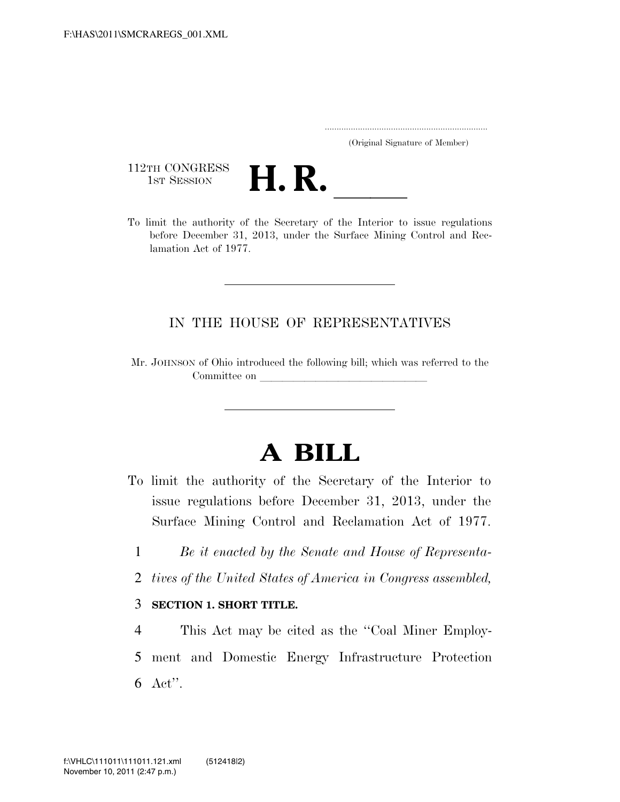..................................................................... (Original Signature of Member)

112TH CONGRESS<br>1st Session



112TH CONGRESS<br>1st SESSION **H. R.** <u>Interior</u> to issue regulations<br>To limit the authority of the Secretary of the Interior to issue regulations before December 31, 2013, under the Surface Mining Control and Reclamation Act of 1977.

## IN THE HOUSE OF REPRESENTATIVES

Mr. JOHNSON of Ohio introduced the following bill; which was referred to the Committee on

## **A BILL**

- To limit the authority of the Secretary of the Interior to issue regulations before December 31, 2013, under the Surface Mining Control and Reclamation Act of 1977.
	- 1 *Be it enacted by the Senate and House of Representa-*
	- 2 *tives of the United States of America in Congress assembled,*

## 3 **SECTION 1. SHORT TITLE.**

4 This Act may be cited as the ''Coal Miner Employ-5 ment and Domestic Energy Infrastructure Protection 6 Act''.